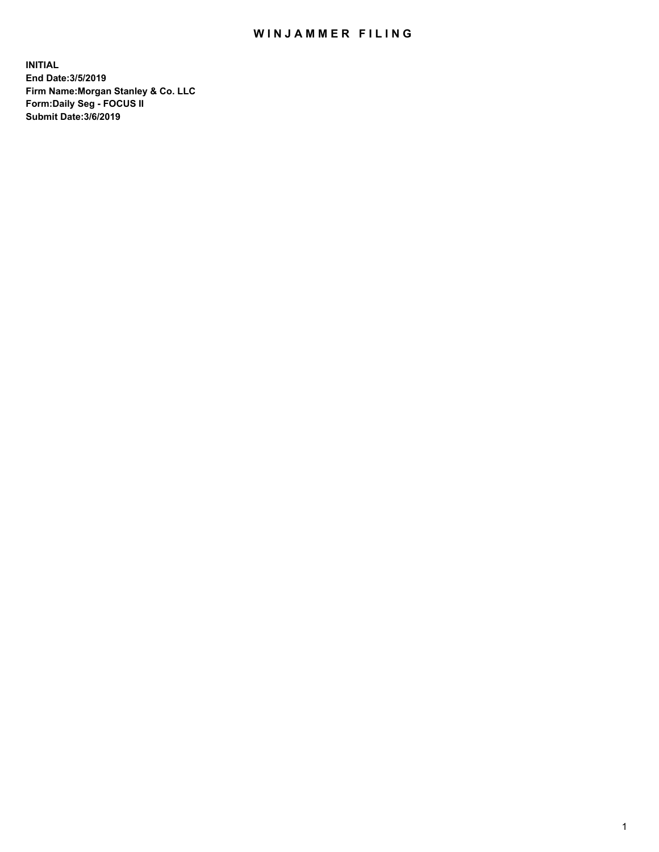# WIN JAMMER FILING

**INITIAL End Date:3/5/2019 Firm Name:Morgan Stanley & Co. LLC Form:Daily Seg - FOCUS II Submit Date:3/6/2019**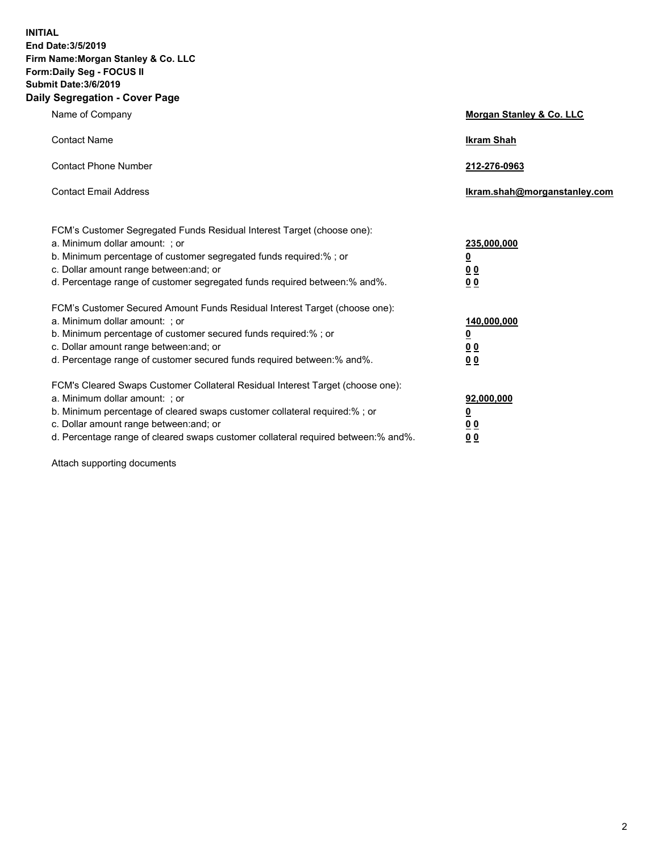**INITIAL End Date:3/5/2019 Firm Name:Morgan Stanley & Co. LLC Form:Daily Seg - FOCUS II Submit Date:3/6/2019 Daily Segregation - Cover Page**

| Name of Company                                                                                                                                                                                                                                                                                                                | Morgan Stanley & Co. LLC                        |
|--------------------------------------------------------------------------------------------------------------------------------------------------------------------------------------------------------------------------------------------------------------------------------------------------------------------------------|-------------------------------------------------|
| <b>Contact Name</b>                                                                                                                                                                                                                                                                                                            | <b>Ikram Shah</b>                               |
| <b>Contact Phone Number</b>                                                                                                                                                                                                                                                                                                    | 212-276-0963                                    |
| <b>Contact Email Address</b>                                                                                                                                                                                                                                                                                                   | Ikram.shah@morganstanley.com                    |
| FCM's Customer Segregated Funds Residual Interest Target (choose one):<br>a. Minimum dollar amount: ; or<br>b. Minimum percentage of customer segregated funds required:% ; or<br>c. Dollar amount range between: and; or<br>d. Percentage range of customer segregated funds required between:% and%.                         | 235,000,000<br><u>0</u><br><u>00</u><br>00      |
| FCM's Customer Secured Amount Funds Residual Interest Target (choose one):<br>a. Minimum dollar amount: ; or<br>b. Minimum percentage of customer secured funds required:% ; or<br>c. Dollar amount range between: and; or<br>d. Percentage range of customer secured funds required between: % and %.                         | 140,000,000<br><u>0</u><br>0 <sub>0</sub><br>00 |
| FCM's Cleared Swaps Customer Collateral Residual Interest Target (choose one):<br>a. Minimum dollar amount: ; or<br>b. Minimum percentage of cleared swaps customer collateral required:% ; or<br>c. Dollar amount range between: and; or<br>d. Percentage range of cleared swaps customer collateral required between:% and%. | 92,000,000<br><u>0</u><br>0 Q<br>0 <sub>0</sub> |

Attach supporting documents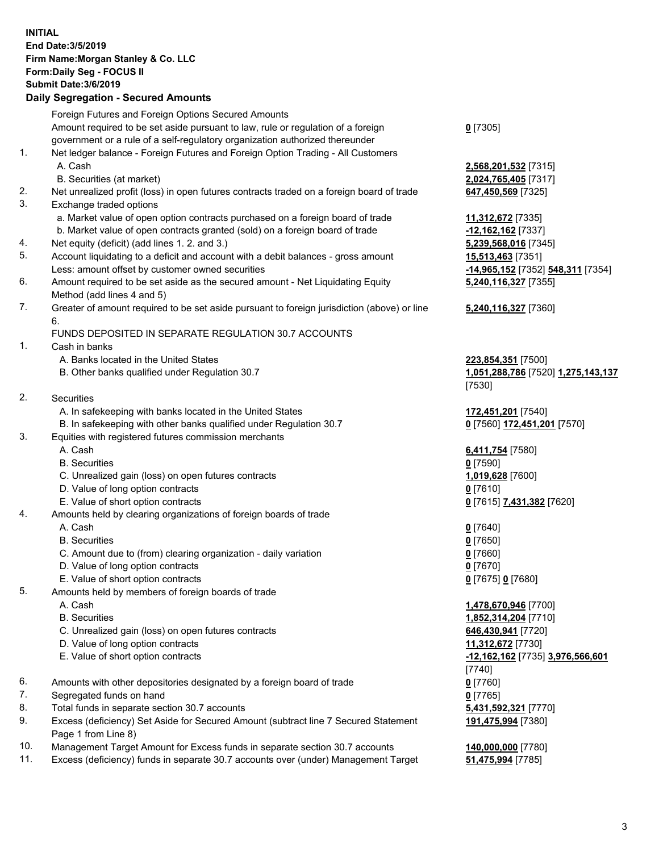## **INITIAL End Date:3/5/2019 Firm Name:Morgan Stanley & Co. LLC Form:Daily Seg - FOCUS II Submit Date:3/6/2019 Daily Segregation - Secured Amounts** Foreign Futures and Foreign Options Secured Amounts Amount required to be set aside pursuant to law, rule or regulation of a foreign government or a rule of a self-regulatory organization authorized thereunder 1. Net ledger balance - Foreign Futures and Foreign Option Trading - All Customers A. Cash **2,568,201,532** [7315] B. Securities (at market) **2,024,765,405** [7317] 2. Net unrealized profit (loss) in open futures contracts traded on a foreign board of trade **647,450,569** [7325] 3. Exchange traded options a. Market value of open option contracts purchased on a foreign board of trade **11,312,672** [7335]

- b. Market value of open contracts granted (sold) on a foreign board of trade **-12,162,162** [7337]
- 4. Net equity (deficit) (add lines 1. 2. and 3.) **5,239,568,016** [7345]
- 5. Account liquidating to a deficit and account with a debit balances gross amount **15,513,463** [7351] Less: amount offset by customer owned securities **-14,965,152** [7352] **548,311** [7354]
- 6. Amount required to be set aside as the secured amount Net Liquidating Equity Method (add lines 4 and 5)
- 7. Greater of amount required to be set aside pursuant to foreign jurisdiction (above) or line 6.

## FUNDS DEPOSITED IN SEPARATE REGULATION 30.7 ACCOUNTS

1. Cash in banks

- A. Banks located in the United States **223,854,351** [7500]
- B. Other banks qualified under Regulation 30.7 **1,051,288,786** [7520] **1,275,143,137**
- 2. Securities
	- A. In safekeeping with banks located in the United States **172,451,201** [7540]
- B. In safekeeping with other banks qualified under Regulation 30.7 **0** [7560] **172,451,201** [7570]
- 3. Equities with registered futures commission merchants
	-
	- B. Securities **0** [7590]
	- C. Unrealized gain (loss) on open futures contracts **1,019,628** [7600]
	- D. Value of long option contracts **0** [7610]
	- E. Value of short option contracts **0** [7615] **7,431,382** [7620]
- 4. Amounts held by clearing organizations of foreign boards of trade

#### A. Cash **0** [7640]

- B. Securities **0** [7650]
- C. Amount due to (from) clearing organization daily variation **0** [7660]
- D. Value of long option contracts **0** [7670]
- E. Value of short option contracts **0** [7675] **0** [7680]
- 5. Amounts held by members of foreign boards of trade
	-
	-
	- C. Unrealized gain (loss) on open futures contracts **646,430,941** [7720]
	- D. Value of long option contracts **11,312,672** [7730]
	-
- 6. Amounts with other depositories designated by a foreign board of trade **0** [7760]
- 7. Segregated funds on hand **0** [7765]
- 8. Total funds in separate section 30.7 accounts **5,431,592,321** [7770]
- 9. Excess (deficiency) Set Aside for Secured Amount (subtract line 7 Secured Statement Page 1 from Line 8)
- 10. Management Target Amount for Excess funds in separate section 30.7 accounts **140,000,000** [7780]
- 11. Excess (deficiency) funds in separate 30.7 accounts over (under) Management Target **51,475,994** [7785]

**0** [7305]

**5,240,116,327** [7355]

#### **5,240,116,327** [7360]

[7530]

A. Cash **6,411,754** [7580]

 A. Cash **1,478,670,946** [7700] B. Securities **1,852,314,204** [7710] E. Value of short option contracts **-12,162,162** [7735] **3,976,566,601** [7740] **191,475,994** [7380]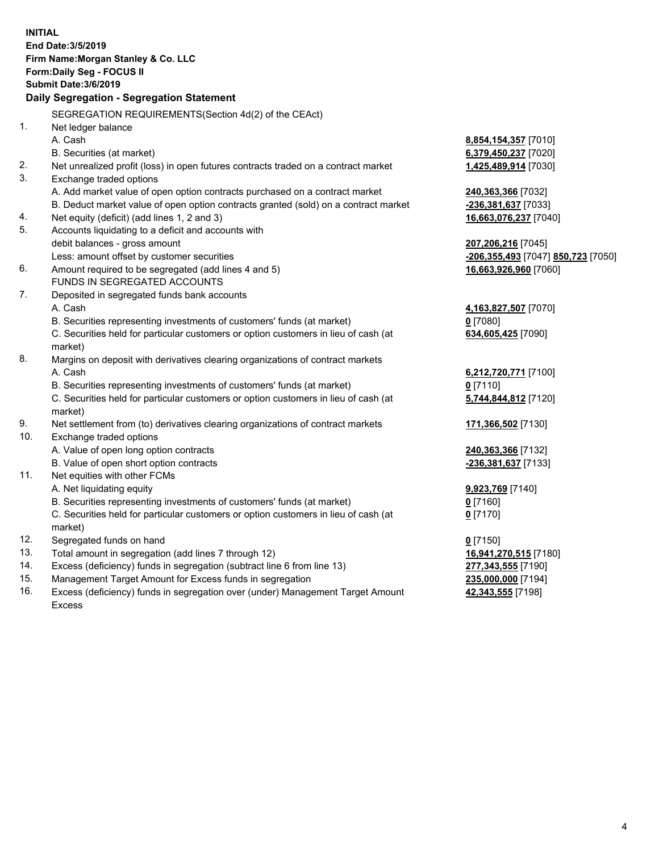|     | <b>INITIAL</b>                                                                      |                                    |
|-----|-------------------------------------------------------------------------------------|------------------------------------|
|     | End Date: 3/5/2019                                                                  |                                    |
|     | Firm Name: Morgan Stanley & Co. LLC                                                 |                                    |
|     | Form: Daily Seg - FOCUS II                                                          |                                    |
|     | <b>Submit Date: 3/6/2019</b>                                                        |                                    |
|     | Daily Segregation - Segregation Statement                                           |                                    |
|     | SEGREGATION REQUIREMENTS(Section 4d(2) of the CEAct)                                |                                    |
| 1.  | Net ledger balance                                                                  |                                    |
|     | A. Cash                                                                             | 8,854,154,357 [7010]               |
|     | B. Securities (at market)                                                           | 6,379,450,237 [7020]               |
| 2.  | Net unrealized profit (loss) in open futures contracts traded on a contract market  | 1,425,489,914 [7030]               |
| 3.  | Exchange traded options                                                             |                                    |
|     | A. Add market value of open option contracts purchased on a contract market         | 240,363,366 [7032]                 |
|     | B. Deduct market value of open option contracts granted (sold) on a contract market | -236,381,637 [7033]                |
| 4.  | Net equity (deficit) (add lines 1, 2 and 3)                                         | 16,663,076,237 [7040]              |
| 5.  | Accounts liquidating to a deficit and accounts with                                 |                                    |
|     | debit balances - gross amount                                                       | 207,206,216 [7045]                 |
|     | Less: amount offset by customer securities                                          | -206,355,493 [7047] 850,723 [7050] |
| 6.  | Amount required to be segregated (add lines 4 and 5)                                | 16,663,926,960 [7060]              |
|     | FUNDS IN SEGREGATED ACCOUNTS                                                        |                                    |
| 7.  | Deposited in segregated funds bank accounts                                         |                                    |
|     | A. Cash                                                                             | 4,163,827,507 [7070]               |
|     | B. Securities representing investments of customers' funds (at market)              | $0$ [7080]                         |
|     | C. Securities held for particular customers or option customers in lieu of cash (at | 634,605,425 [7090]                 |
|     | market)                                                                             |                                    |
| 8.  | Margins on deposit with derivatives clearing organizations of contract markets      |                                    |
|     | A. Cash                                                                             | 6,212,720,771 [7100]               |
|     | B. Securities representing investments of customers' funds (at market)              | $0$ [7110]                         |
|     | C. Securities held for particular customers or option customers in lieu of cash (at | 5,744,844,812 [7120]               |
|     | market)                                                                             |                                    |
| 9.  | Net settlement from (to) derivatives clearing organizations of contract markets     | 171,366,502 [7130]                 |
| 10. | Exchange traded options                                                             |                                    |
|     | A. Value of open long option contracts                                              | 240,363,366 [7132]                 |
|     | B. Value of open short option contracts                                             | -236,381,637 [7133]                |
| 11. | Net equities with other FCMs                                                        |                                    |
|     | A. Net liquidating equity                                                           | 9,923,769 [7140]                   |
|     | B. Securities representing investments of customers' funds (at market)              | 0 [7160]                           |
|     | C. Securities held for particular customers or option customers in lieu of cash (at | $0$ [7170]                         |
|     | market)                                                                             |                                    |
| 12. | Segregated funds on hand                                                            | $0$ [7150]                         |
| 13. | Total amount in segregation (add lines 7 through 12)                                | 16,941,270,515 [7180]              |
| 14. | Excess (deficiency) funds in segregation (subtract line 6 from line 13)             | 277,343,555 [7190]                 |
| 15. | Management Target Amount for Excess funds in segregation                            | 235,000,000 [7194]                 |

16. Excess (deficiency) funds in segregation over (under) Management Target Amount Excess

**42,343,555** [7198]